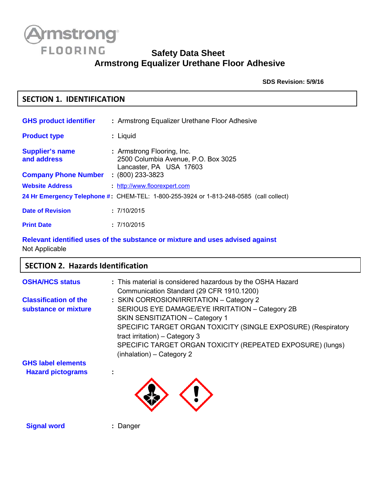

## **Safety Data Sheet Armstrong Equalizer Urethane Floor Adhesive**

**SDS Revision: 5/9/16**

## **SECTION 1. IDENTIFICATION**

| <b>GHS product identifier</b>                                        | : Armstrong Equalizer Urethane Floor Adhesive                                                                      |
|----------------------------------------------------------------------|--------------------------------------------------------------------------------------------------------------------|
| <b>Product type</b>                                                  | : Liquid                                                                                                           |
| <b>Supplier's name</b><br>and address<br><b>Company Phone Number</b> | : Armstrong Flooring, Inc.<br>2500 Columbia Avenue, P.O. Box 3025<br>Lancaster, PA USA 17603<br>$: (800)$ 233-3823 |
| <b>Website Address</b>                                               | http://www.floorexpert.com                                                                                         |
|                                                                      | 24 Hr Emergency Telephone #: CHEM-TEL: 1-800-255-3924 or 1-813-248-0585 (call collect)                             |
| <b>Date of Revision</b>                                              | : 7/10/2015                                                                                                        |
| <b>Print Date</b>                                                    | : 7/10/2015                                                                                                        |

## **Relevant identified uses of the substance or mixture and uses advised against** Not Applicable

## **SECTION 2. Hazards Identification**

| <b>OSHA/HCS status</b>       | : This material is considered hazardous by the OSHA Hazard    |
|------------------------------|---------------------------------------------------------------|
|                              | Communication Standard (29 CFR 1910.1200)                     |
| <b>Classification of the</b> | : SKIN CORROSION/IRRITATION - Category 2                      |
| substance or mixture         | SERIOUS EYE DAMAGE/EYE IRRITATION - Category 2B               |
|                              | SKIN SENSITIZATION - Category 1                               |
|                              | SPECIFIC TARGET ORGAN TOXICITY (SINGLE EXPOSURE) (Respiratory |
|                              | tract irritation) $-$ Category 3                              |
|                              | SPECIFIC TARGET ORGAN TOXICITY (REPEATED EXPOSURE) (lungs)    |
|                              | (inhalation) - Category 2                                     |
| <b>GHS label elements</b>    |                                                               |
| <b>Hazard pictograms</b>     |                                                               |



**Signal word : Danger**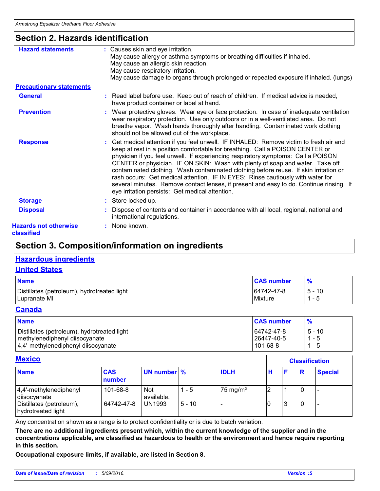## **Section 2. Hazards identification**

| <b>Hazard statements</b>                   | : Causes skin and eye irritation.<br>May cause allergy or asthma symptoms or breathing difficulties if inhaled.<br>May cause an allergic skin reaction.<br>May cause respiratory irritation.<br>May cause damage to organs through prolonged or repeated exposure if inhaled. (lungs)                                                                                                                                                                                                                                                                                                                                                                                 |
|--------------------------------------------|-----------------------------------------------------------------------------------------------------------------------------------------------------------------------------------------------------------------------------------------------------------------------------------------------------------------------------------------------------------------------------------------------------------------------------------------------------------------------------------------------------------------------------------------------------------------------------------------------------------------------------------------------------------------------|
| <b>Precautionary statements</b>            |                                                                                                                                                                                                                                                                                                                                                                                                                                                                                                                                                                                                                                                                       |
| <b>General</b>                             | : Read label before use. Keep out of reach of children. If medical advice is needed,<br>have product container or label at hand.                                                                                                                                                                                                                                                                                                                                                                                                                                                                                                                                      |
| <b>Prevention</b>                          | : Wear protective gloves. Wear eye or face protection. In case of inadequate ventilation<br>wear respiratory protection. Use only outdoors or in a well-ventilated area. Do not<br>breathe vapor. Wash hands thoroughly after handling. Contaminated work clothing<br>should not be allowed out of the workplace.                                                                                                                                                                                                                                                                                                                                                     |
| <b>Response</b>                            | Get medical attention if you feel unwell. IF INHALED: Remove victim to fresh air and<br>keep at rest in a position comfortable for breathing. Call a POISON CENTER or<br>physician if you feel unwell. If experiencing respiratory symptoms: Call a POISON<br>CENTER or physician. IF ON SKIN: Wash with plenty of soap and water. Take off<br>contaminated clothing. Wash contaminated clothing before reuse. If skin irritation or<br>rash occurs: Get medical attention. IF IN EYES: Rinse cautiously with water for<br>several minutes. Remove contact lenses, if present and easy to do. Continue rinsing. If<br>eye irritation persists: Get medical attention. |
| <b>Storage</b>                             | : Store locked up.                                                                                                                                                                                                                                                                                                                                                                                                                                                                                                                                                                                                                                                    |
| <b>Disposal</b>                            | Dispose of contents and container in accordance with all local, regional, national and<br>international regulations.                                                                                                                                                                                                                                                                                                                                                                                                                                                                                                                                                  |
| <b>Hazards not otherwise</b><br>classified | : None known.                                                                                                                                                                                                                                                                                                                                                                                                                                                                                                                                                                                                                                                         |

## **Section 3. Composition/information on ingredients**

## **Hazardous ingredients**

#### **United States**

| <b>Name</b>                                 | <b>CAS number</b> | $\frac{9}{6}$ |
|---------------------------------------------|-------------------|---------------|
| Distillates (petroleum), hydrotreated light | 64742-47-8        | $5 - 10$      |
| Lupranate MI                                | Mixture           | - 5           |

## **Canada**

| <b>Name</b>                                 | <b>CAS number</b> |          |
|---------------------------------------------|-------------------|----------|
| Distillates (petroleum), hydrotreated light | 64742-47-8        | $5 - 10$ |
| methylenediphenyl diisocyanate              | 26447-40-5        | 1 - 5    |
| 4,4'-methylenediphenyl diisocyanate         | 101-68-8          | 1 - 5    |

## **Mexico**

| <b>MEXICO</b>                                  |                      |                          |          |                     |   | <b>Classification</b> |          |                |  |
|------------------------------------------------|----------------------|--------------------------|----------|---------------------|---|-----------------------|----------|----------------|--|
| <b>Name</b>                                    | <b>CAS</b><br>number | UN number %              |          | <b>IDLH</b>         | Н |                       | <b>R</b> | <b>Special</b> |  |
| $ 4,4'$ -methylenediphenyl<br>diisocyanate     | 101-68-8             | <b>Not</b><br>available. | - 5      | $75 \text{ mg/m}^3$ |   |                       |          |                |  |
| Distillates (petroleum),<br>hydrotreated light | 64742-47-8           | <b>UN1993</b>            | $5 - 10$ |                     |   |                       |          |                |  |

Any concentration shown as a range is to protect confidentiality or is due to batch variation.

**There are no additional ingredients present which, within the current knowledge of the supplier and in the concentrations applicable, are classified as hazardous to health or the environment and hence require reporting in this section.** *Date of issue/Date of revision* **:** *5/09/2016. Version :<sup>5</sup>*

**Occupational exposure limits, if available, are listed in Section 8.**

 $\Gamma$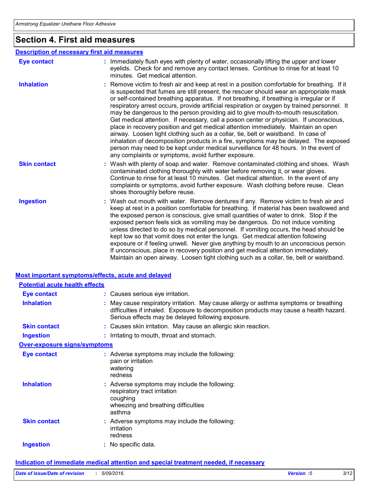## **Section 4. First aid measures**

| <b>Description of necessary first aid measures</b> |                                                                                                                                                                                                                                                                                                                                                                                                                                                                                                                                                                                                                                                                                                                                                                                                                                                                                                                                                                                       |
|----------------------------------------------------|---------------------------------------------------------------------------------------------------------------------------------------------------------------------------------------------------------------------------------------------------------------------------------------------------------------------------------------------------------------------------------------------------------------------------------------------------------------------------------------------------------------------------------------------------------------------------------------------------------------------------------------------------------------------------------------------------------------------------------------------------------------------------------------------------------------------------------------------------------------------------------------------------------------------------------------------------------------------------------------|
| <b>Eye contact</b>                                 | : Immediately flush eyes with plenty of water, occasionally lifting the upper and lower<br>eyelids. Check for and remove any contact lenses. Continue to rinse for at least 10<br>minutes. Get medical attention.                                                                                                                                                                                                                                                                                                                                                                                                                                                                                                                                                                                                                                                                                                                                                                     |
| <b>Inhalation</b>                                  | : Remove victim to fresh air and keep at rest in a position comfortable for breathing. If it<br>is suspected that fumes are still present, the rescuer should wear an appropriate mask<br>or self-contained breathing apparatus. If not breathing, if breathing is irregular or if<br>respiratory arrest occurs, provide artificial respiration or oxygen by trained personnel. It<br>may be dangerous to the person providing aid to give mouth-to-mouth resuscitation.<br>Get medical attention. If necessary, call a poison center or physician. If unconscious,<br>place in recovery position and get medical attention immediately. Maintain an open<br>airway. Loosen tight clothing such as a collar, tie, belt or waistband. In case of<br>inhalation of decomposition products in a fire, symptoms may be delayed. The exposed<br>person may need to be kept under medical surveillance for 48 hours. In the event of<br>any complaints or symptoms, avoid further exposure. |
| <b>Skin contact</b>                                | : Wash with plenty of soap and water. Remove contaminated clothing and shoes. Wash<br>contaminated clothing thoroughly with water before removing it, or wear gloves.<br>Continue to rinse for at least 10 minutes. Get medical attention. In the event of any<br>complaints or symptoms, avoid further exposure. Wash clothing before reuse. Clean<br>shoes thoroughly before reuse.                                                                                                                                                                                                                                                                                                                                                                                                                                                                                                                                                                                                 |
| <b>Ingestion</b>                                   | : Wash out mouth with water. Remove dentures if any. Remove victim to fresh air and<br>keep at rest in a position comfortable for breathing. If material has been swallowed and<br>the exposed person is conscious, give small quantities of water to drink. Stop if the<br>exposed person feels sick as vomiting may be dangerous. Do not induce vomiting<br>unless directed to do so by medical personnel. If vomiting occurs, the head should be<br>kept low so that vomit does not enter the lungs. Get medical attention following<br>exposure or if feeling unwell. Never give anything by mouth to an unconscious person.<br>If unconscious, place in recovery position and get medical attention immediately.<br>Maintain an open airway. Loosen tight clothing such as a collar, tie, belt or waistband.                                                                                                                                                                     |

## **Most important symptoms/effects, acute and delayed**

| <b>Potential acute health effects</b> |                                                                                                                                                                                                                                     |  |
|---------------------------------------|-------------------------------------------------------------------------------------------------------------------------------------------------------------------------------------------------------------------------------------|--|
| <b>Eye contact</b>                    | : Causes serious eye irritation.                                                                                                                                                                                                    |  |
| <b>Inhalation</b>                     | May cause respiratory irritation. May cause allergy or asthma symptoms or breathing<br>difficulties if inhaled. Exposure to decomposition products may cause a health hazard.<br>Serious effects may be delayed following exposure. |  |
| <b>Skin contact</b>                   | : Causes skin irritation. May cause an allergic skin reaction.                                                                                                                                                                      |  |
| <b>Ingestion</b>                      | : Irritating to mouth, throat and stomach.                                                                                                                                                                                          |  |
| <b>Over-exposure signs/symptoms</b>   |                                                                                                                                                                                                                                     |  |
| <b>Eye contact</b>                    | : Adverse symptoms may include the following:<br>pain or irritation<br>watering<br>redness                                                                                                                                          |  |
| <b>Inhalation</b>                     | Adverse symptoms may include the following:<br>respiratory tract irritation<br>coughing<br>wheezing and breathing difficulties<br>asthma                                                                                            |  |
| <b>Skin contact</b>                   | : Adverse symptoms may include the following:<br>irritation<br>redness                                                                                                                                                              |  |
| <b>Ingestion</b>                      | : No specific data.                                                                                                                                                                                                                 |  |
|                                       | <b>Indication of immediate medical attention and special treatment needed, if necessary</b>                                                                                                                                         |  |
| Date of issue/Date of revision        | : 5/09/2016.<br>Version :5<br>3/12                                                                                                                                                                                                  |  |
|                                       |                                                                                                                                                                                                                                     |  |

#### **Indication of immediate medical attention and special treatment needed, if necessary**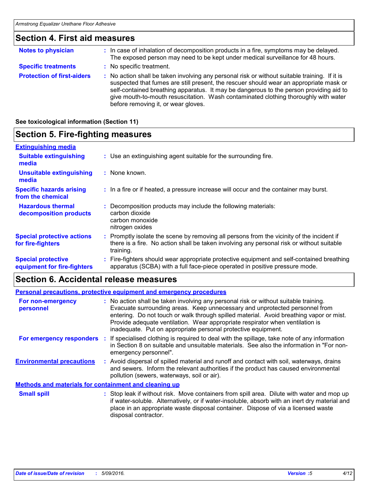# **Section 4. First aid measures**

| <b>Notes to physician</b>         | : In case of inhalation of decomposition products in a fire, symptoms may be delayed.<br>The exposed person may need to be kept under medical surveillance for 48 hours.                                                                                                                                                                                                                                        |
|-----------------------------------|-----------------------------------------------------------------------------------------------------------------------------------------------------------------------------------------------------------------------------------------------------------------------------------------------------------------------------------------------------------------------------------------------------------------|
| <b>Specific treatments</b>        | : No specific treatment.                                                                                                                                                                                                                                                                                                                                                                                        |
| <b>Protection of first-aiders</b> | : No action shall be taken involving any personal risk or without suitable training. If it is<br>suspected that fumes are still present, the rescuer should wear an appropriate mask or<br>self-contained breathing apparatus. It may be dangerous to the person providing aid to<br>give mouth-to-mouth resuscitation. Wash contaminated clothing thoroughly with water<br>before removing it, or wear gloves. |

**See toxicological information (Section 11)**

| <b>Section 5. Fire-fighting measures</b>                 |                                                                                                                                                                                                     |  |  |
|----------------------------------------------------------|-----------------------------------------------------------------------------------------------------------------------------------------------------------------------------------------------------|--|--|
| <b>Extinguishing media</b>                               |                                                                                                                                                                                                     |  |  |
| <b>Suitable extinguishing</b><br>media                   | : Use an extinguishing agent suitable for the surrounding fire.                                                                                                                                     |  |  |
| Unsuitable extinguishing<br>media                        | : None known.                                                                                                                                                                                       |  |  |
| <b>Specific hazards arising</b><br>from the chemical     | : In a fire or if heated, a pressure increase will occur and the container may burst.                                                                                                               |  |  |
| <b>Hazardous thermal</b><br>decomposition products       | Decomposition products may include the following materials:<br>carbon dioxide<br>carbon monoxide<br>nitrogen oxides                                                                                 |  |  |
| <b>Special protective actions</b><br>for fire-fighters   | : Promptly isolate the scene by removing all persons from the vicinity of the incident if<br>there is a fire. No action shall be taken involving any personal risk or without suitable<br>training. |  |  |
| <b>Special protective</b><br>equipment for fire-fighters | Fire-fighters should wear appropriate protective equipment and self-contained breathing<br>apparatus (SCBA) with a full face-piece operated in positive pressure mode.                              |  |  |

## **Section 6. Accidental release measures**

|                                                              | <b>Personal precautions, protective equipment and emergency procedures</b>                                                                                                                                                                                                                                                                                                                                       |
|--------------------------------------------------------------|------------------------------------------------------------------------------------------------------------------------------------------------------------------------------------------------------------------------------------------------------------------------------------------------------------------------------------------------------------------------------------------------------------------|
| For non-emergency<br>personnel                               | : No action shall be taken involving any personal risk or without suitable training.<br>Evacuate surrounding areas. Keep unnecessary and unprotected personnel from<br>entering. Do not touch or walk through spilled material. Avoid breathing vapor or mist.<br>Provide adequate ventilation. Wear appropriate respirator when ventilation is<br>inadequate. Put on appropriate personal protective equipment. |
| For emergency responders                                     | : If specialised clothing is required to deal with the spillage, take note of any information<br>in Section 8 on suitable and unsuitable materials. See also the information in "For non-<br>emergency personnel".                                                                                                                                                                                               |
| <b>Environmental precautions</b>                             | : Avoid dispersal of spilled material and runoff and contact with soil, waterways, drains<br>and sewers. Inform the relevant authorities if the product has caused environmental<br>pollution (sewers, waterways, soil or air).                                                                                                                                                                                  |
| <b>Methods and materials for containment and cleaning up</b> |                                                                                                                                                                                                                                                                                                                                                                                                                  |
| <b>Small spill</b>                                           | : Stop leak if without risk. Move containers from spill area. Dilute with water and mop up<br>if water-soluble. Alternatively, or if water-insoluble, absorb with an inert dry material and<br>place in an appropriate waste disposal container. Dispose of via a licensed waste<br>disposal contractor.                                                                                                         |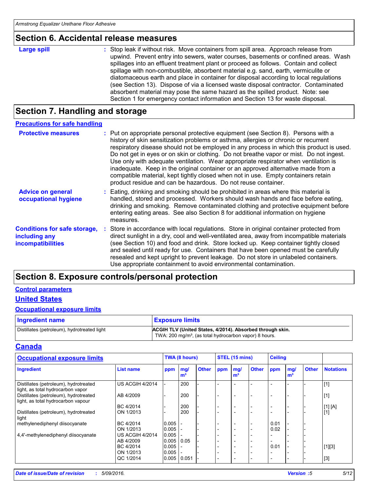## **Section 6. Accidental release measures**

| <b>Large spill</b> |  |
|--------------------|--|
|                    |  |

**Large spill the container of the Stop leak if without risk. Move containers from spill area. Approach release from** upwind. Prevent entry into sewers, water courses, basements or confined areas. Wash spillages into an effluent treatment plant or proceed as follows. Contain and collect spillage with non-combustible, absorbent material e.g. sand, earth, vermiculite or diatomaceous earth and place in container for disposal according to local regulations (see Section 13). Dispose of via a licensed waste disposal contractor. Contaminated absorbent material may pose the same hazard as the spilled product. Note: see Section 1 for emergency contact information and Section 13 for waste disposal.

## **Section 7. Handling and storage**

| <b>Precautions for safe handling</b>                                             |                                                                                                                                                                                                                                                                                                                                                                                                                                                                                                                                                                                                                                                                                                    |
|----------------------------------------------------------------------------------|----------------------------------------------------------------------------------------------------------------------------------------------------------------------------------------------------------------------------------------------------------------------------------------------------------------------------------------------------------------------------------------------------------------------------------------------------------------------------------------------------------------------------------------------------------------------------------------------------------------------------------------------------------------------------------------------------|
| <b>Protective measures</b>                                                       | : Put on appropriate personal protective equipment (see Section 8). Persons with a<br>history of skin sensitization problems or asthma, allergies or chronic or recurrent<br>respiratory disease should not be employed in any process in which this product is used.<br>Do not get in eyes or on skin or clothing. Do not breathe vapor or mist. Do not ingest.<br>Use only with adequate ventilation. Wear appropriate respirator when ventilation is<br>inadequate. Keep in the original container or an approved alternative made from a<br>compatible material, kept tightly closed when not in use. Empty containers retain<br>product residue and can be hazardous. Do not reuse container. |
| <b>Advice on general</b><br>occupational hygiene                                 | : Eating, drinking and smoking should be prohibited in areas where this material is<br>handled, stored and processed. Workers should wash hands and face before eating,<br>drinking and smoking. Remove contaminated clothing and protective equipment before<br>entering eating areas. See also Section 8 for additional information on hygiene<br>measures.                                                                                                                                                                                                                                                                                                                                      |
| <b>Conditions for safe storage,</b><br>including any<br><i>incompatibilities</i> | : Store in accordance with local regulations. Store in original container protected from<br>direct sunlight in a dry, cool and well-ventilated area, away from incompatible materials<br>(see Section 10) and food and drink. Store locked up. Keep container tightly closed<br>and sealed until ready for use. Containers that have been opened must be carefully<br>resealed and kept upright to prevent leakage. Do not store in unlabeled containers.<br>Use appropriate containment to avoid environmental contamination.                                                                                                                                                                     |

## **Section 8. Exposure controls/personal protection**

#### **Control parameters**

## **United States**

#### **Occupational exposure limits**

| <b>Ingredient name</b>                      | <b>Exposure limits</b>                                                                                                          |
|---------------------------------------------|---------------------------------------------------------------------------------------------------------------------------------|
| Distillates (petroleum), hydrotreated light | ACGIH TLV (United States, 4/2014). Absorbed through skin.<br>TWA: 200 mg/m <sup>3</sup> , (as total hydrocarbon vapor) 8 hours. |

#### **Canada**

| <b>Occupational exposure limits</b>                                         |                        |       | <b>TWA (8 hours)</b>  |              | STEL (15 mins) |                          |              | <b>Ceiling</b>           |                       |              |                  |
|-----------------------------------------------------------------------------|------------------------|-------|-----------------------|--------------|----------------|--------------------------|--------------|--------------------------|-----------------------|--------------|------------------|
| Ingredient                                                                  | <b>List name</b>       | ppm   | mg/<br>m <sup>3</sup> | <b>Other</b> | ppm            | mg/<br>m <sup>3</sup>    | <b>Other</b> | ppm                      | mg/<br>m <sup>3</sup> | <b>Other</b> | <b>Notations</b> |
| Distillates (petroleum), hydrotreated<br>light, as total hydrocarbon vapor  | <b>US ACGIH 4/2014</b> |       | 200                   |              |                |                          |              |                          |                       |              | [1]              |
| Distillates (petroleum), hydrotreated<br>light, as total hydrocarbon vapour | AB 4/2009              |       | 200                   |              |                |                          |              |                          |                       |              | [1]              |
|                                                                             | BC 4/2014              |       | 200                   |              |                | $\overline{\phantom{a}}$ |              | $\overline{\phantom{a}}$ |                       |              | [1] [A]          |
| Distillates (petroleum), hydrotreated<br>light                              | ON 1/2013              |       | 200                   |              |                | $\overline{\phantom{a}}$ |              | $\overline{\phantom{0}}$ |                       |              | $[1]$            |
| methylenediphenyl diisocyanate                                              | BC 4/2014              | 0.005 |                       |              |                | ۰                        |              | 0.01                     |                       |              |                  |
|                                                                             | ON 1/2013              | 0.005 |                       |              |                | $\overline{\phantom{0}}$ |              | 0.02                     |                       |              |                  |
| 4,4'-methylenediphenyl diisocyanate                                         | <b>US ACGIH 4/2014</b> | 0.005 |                       |              |                | $\overline{\phantom{0}}$ |              |                          |                       |              |                  |
|                                                                             | AB 4/2009              | 0.005 | 0.05                  |              |                | $\overline{\phantom{0}}$ |              |                          |                       |              |                  |
|                                                                             | BC 4/2014              | 0.005 |                       |              |                | $\overline{\phantom{0}}$ |              | 0.01                     |                       |              | $[1][3]$         |
|                                                                             | ON 1/2013              | 0.005 |                       |              |                | $\overline{\phantom{0}}$ |              |                          |                       |              |                  |
|                                                                             | QC 1/2014              | 0.005 | 0.051                 |              |                | $\overline{\phantom{0}}$ |              | $\overline{\phantom{0}}$ |                       |              | $[3]$            |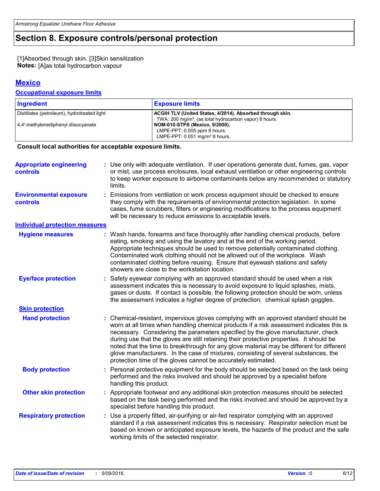## **Section 8. Exposure controls/personal protection**

[1]Absorbed through skin. [3]Skin sensitization **Notes:** [A]as total hydrocarbon vapour

## **Mexico**

#### **Occupational exposure limits**

| Ingredient                                  | <b>Exposure limits</b>                                             |
|---------------------------------------------|--------------------------------------------------------------------|
| Distillates (petroleum), hydrotreated light | ACGIH TLV (United States, 4/2014). Absorbed through skin.          |
|                                             | TWA: 200 mg/m <sup>3</sup> , (as total hydrocarbon vapor) 8 hours. |
| 4.4'-methylenediphenyl diisocyanate         | NOM-010-STPS (Mexico, 9/2000).                                     |
|                                             | LMPE-PPT: 0.005 ppm 8 hours.                                       |
|                                             | LMPE-PPT: $0.051$ mg/m <sup>3</sup> 8 hours.                       |

#### **Consult local authorities for acceptable exposure limits.**

| <b>Date of issue/Date of revision</b>             | : 5/09/2016.                                                                                                                                                                                                                                                                                                                                                                                                                                                                                                                                                                                                         | Version :5 | 6/12 |
|---------------------------------------------------|----------------------------------------------------------------------------------------------------------------------------------------------------------------------------------------------------------------------------------------------------------------------------------------------------------------------------------------------------------------------------------------------------------------------------------------------------------------------------------------------------------------------------------------------------------------------------------------------------------------------|------------|------|
|                                                   |                                                                                                                                                                                                                                                                                                                                                                                                                                                                                                                                                                                                                      |            |      |
| <b>Respiratory protection</b>                     | Use a properly fitted, air-purifying or air-fed respirator complying with an approved<br>standard if a risk assessment indicates this is necessary. Respirator selection must be<br>based on known or anticipated exposure levels, the hazards of the product and the safe<br>working limits of the selected respirator.                                                                                                                                                                                                                                                                                             |            |      |
| <b>Other skin protection</b>                      | Appropriate footwear and any additional skin protection measures should be selected<br>based on the task being performed and the risks involved and should be approved by a<br>specialist before handling this product.                                                                                                                                                                                                                                                                                                                                                                                              |            |      |
| <b>Body protection</b>                            | : Personal protective equipment for the body should be selected based on the task being<br>performed and the risks involved and should be approved by a specialist before<br>handling this product.                                                                                                                                                                                                                                                                                                                                                                                                                  |            |      |
| <b>Hand protection</b>                            | Chemical-resistant, impervious gloves complying with an approved standard should be<br>worn at all times when handling chemical products if a risk assessment indicates this is<br>necessary. Considering the parameters specified by the glove manufacturer, check<br>during use that the gloves are still retaining their protective properties. It should be<br>noted that the time to breakthrough for any glove material may be different for different<br>glove manufacturers. In the case of mixtures, consisting of several substances, the<br>protection time of the gloves cannot be accurately estimated. |            |      |
| <b>Skin protection</b>                            |                                                                                                                                                                                                                                                                                                                                                                                                                                                                                                                                                                                                                      |            |      |
| <b>Eye/face protection</b>                        | Safety eyewear complying with an approved standard should be used when a risk<br>assessment indicates this is necessary to avoid exposure to liquid splashes, mists,<br>gases or dusts. If contact is possible, the following protection should be worn, unless<br>the assessment indicates a higher degree of protection: chemical splash goggles.                                                                                                                                                                                                                                                                  |            |      |
| <b>Hygiene measures</b>                           | : Wash hands, forearms and face thoroughly after handling chemical products, before<br>eating, smoking and using the lavatory and at the end of the working period.<br>Appropriate techniques should be used to remove potentially contaminated clothing.<br>Contaminated work clothing should not be allowed out of the workplace. Wash<br>contaminated clothing before reusing. Ensure that eyewash stations and safety<br>showers are close to the workstation location.                                                                                                                                          |            |      |
| <b>Individual protection measures</b>             |                                                                                                                                                                                                                                                                                                                                                                                                                                                                                                                                                                                                                      |            |      |
| <b>Environmental exposure</b><br><b>controls</b>  | Emissions from ventilation or work process equipment should be checked to ensure<br>they comply with the requirements of environmental protection legislation. In some<br>cases, fume scrubbers, filters or engineering modifications to the process equipment<br>will be necessary to reduce emissions to acceptable levels.                                                                                                                                                                                                                                                                                        |            |      |
| <b>Appropriate engineering</b><br><b>controls</b> | : Use only with adequate ventilation. If user operations generate dust, fumes, gas, vapor<br>or mist, use process enclosures, local exhaust ventilation or other engineering controls<br>to keep worker exposure to airborne contaminants below any recommended or statutory<br>limits.                                                                                                                                                                                                                                                                                                                              |            |      |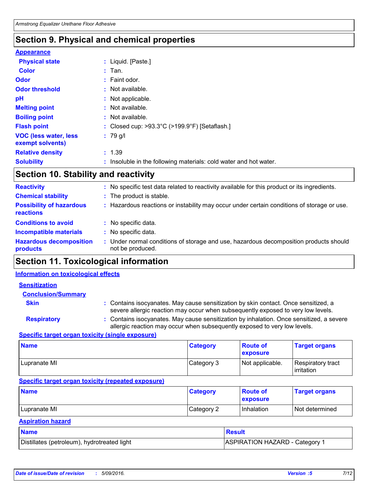## **Section 9. Physical and chemical properties**

#### **Appearance**

| <b>Physical state</b>                             | : Liquid. [Paste.]                                                |
|---------------------------------------------------|-------------------------------------------------------------------|
| <b>Color</b>                                      | $:$ Tan.                                                          |
| <b>Odor</b>                                       | $:$ Faint odor.                                                   |
| <b>Odor threshold</b>                             | : Not available.                                                  |
| pH                                                | : Not applicable.                                                 |
| <b>Melting point</b>                              | : Not available.                                                  |
| <b>Boiling point</b>                              | : Not available.                                                  |
| <b>Flash point</b>                                | : Closed cup: >93.3°C (>199.9°F) [Setaflash.]                     |
| <b>VOC (less water, less)</b><br>exempt solvents) | $: 79$ g/l                                                        |
| <b>Relative density</b>                           | : 1.39                                                            |
| <b>Solubility</b>                                 | : Insoluble in the following materials: cold water and hot water. |

## **Section 10. Stability and reactivity**

| <b>Reactivity</b>                            | No specific test data related to reactivity available for this product or its ingredients.              |
|----------------------------------------------|---------------------------------------------------------------------------------------------------------|
| <b>Chemical stability</b>                    | : The product is stable.                                                                                |
| <b>Possibility of hazardous</b><br>reactions | Hazardous reactions or instability may occur under certain conditions of storage or use.                |
| <b>Conditions to avoid</b>                   | No specific data.                                                                                       |
| <b>Incompatible materials</b>                | No specific data.                                                                                       |
| <b>Hazardous decomposition</b><br>products   | Under normal conditions of storage and use, hazardous decomposition products should<br>not be produced. |

## **Section 11. Toxicological information**

#### **Information on toxicological effects**

| <b>Sensitization</b>                                       |                                                                                                                                                                         |
|------------------------------------------------------------|-------------------------------------------------------------------------------------------------------------------------------------------------------------------------|
| <b>Conclusion/Summary</b>                                  |                                                                                                                                                                         |
| <b>Skin</b>                                                | : Contains isocyanates. May cause sensitization by skin contact. Once sensitized, a<br>severe allergic reaction may occur when subsequently exposed to very low levels. |
| <b>Respiratory</b>                                         | : Contains isocyanates. May cause sensitization by inhalation. Once sensitized, a severe<br>allergic reaction may occur when subsequently exposed to very low levels.   |
| <b>Consifie tovant example tovinity (pingle expensive)</b> |                                                                                                                                                                         |

#### **Specific target organ toxicity (single exposure)**

| <b>Name</b>  | <b>Category</b> | <b>Route of</b><br><b>exposure</b> | <b>Target organs</b>                     |
|--------------|-----------------|------------------------------------|------------------------------------------|
| Lupranate MI | Category 3      | Not applicable.                    | Respiratory tract<br><b>l</b> irritation |

#### **Specific target organ toxicity (repeated exposure)**

| <b>Name</b>  | <b>Category</b> | <b>Route of</b><br><b>exposure</b> | <b>Target organs</b> |
|--------------|-----------------|------------------------------------|----------------------|
| Lupranate MI | Category 2      | Inhalation                         | I Not determined     |

## **Aspiration hazard**

| <b>Name</b>                                  | <b>Result</b>                  |
|----------------------------------------------|--------------------------------|
| Distillates (petroleum), hydrotreated light  | ASPIRATION HAZARD - Category 1 |
|                                              |                                |
|                                              |                                |
| Date of issue/Date of revision<br>5/09/2016. | 7/12<br>Version: 5             |
|                                              |                                |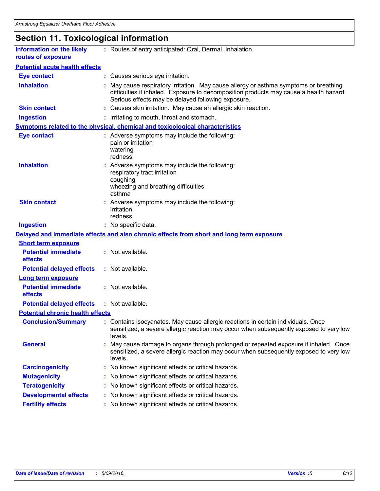# **Section 11. Toxicological information**

| <b>Information on the likely</b><br>routes of exposure | : Routes of entry anticipated: Oral, Dermal, Inhalation.                                                                                                                                                                              |
|--------------------------------------------------------|---------------------------------------------------------------------------------------------------------------------------------------------------------------------------------------------------------------------------------------|
| <b>Potential acute health effects</b>                  |                                                                                                                                                                                                                                       |
| <b>Eye contact</b>                                     | : Causes serious eye irritation.                                                                                                                                                                                                      |
| <b>Inhalation</b>                                      | : May cause respiratory irritation. May cause allergy or asthma symptoms or breathing<br>difficulties if inhaled. Exposure to decomposition products may cause a health hazard.<br>Serious effects may be delayed following exposure. |
| <b>Skin contact</b>                                    | : Causes skin irritation. May cause an allergic skin reaction.                                                                                                                                                                        |
| <b>Ingestion</b>                                       | : Irritating to mouth, throat and stomach.                                                                                                                                                                                            |
|                                                        | <b>Symptoms related to the physical, chemical and toxicological characteristics</b>                                                                                                                                                   |
| <b>Eye contact</b>                                     | : Adverse symptoms may include the following:<br>pain or irritation<br>watering<br>redness                                                                                                                                            |
| <b>Inhalation</b>                                      | : Adverse symptoms may include the following:<br>respiratory tract irritation<br>coughing<br>wheezing and breathing difficulties<br>asthma                                                                                            |
| <b>Skin contact</b>                                    | : Adverse symptoms may include the following:<br>irritation<br>redness                                                                                                                                                                |
| <b>Ingestion</b>                                       | : No specific data.                                                                                                                                                                                                                   |
|                                                        | Delayed and immediate effects and also chronic effects from short and long term exposure                                                                                                                                              |
| <b>Short term exposure</b>                             |                                                                                                                                                                                                                                       |
| <b>Potential immediate</b><br>effects                  | : Not available.                                                                                                                                                                                                                      |
| <b>Potential delayed effects</b>                       | : Not available.                                                                                                                                                                                                                      |
| <b>Long term exposure</b>                              |                                                                                                                                                                                                                                       |
| <b>Potential immediate</b><br>effects                  | : Not available.                                                                                                                                                                                                                      |
| <b>Potential delayed effects</b>                       | : Not available.                                                                                                                                                                                                                      |
| <b>Potential chronic health effects</b>                |                                                                                                                                                                                                                                       |
| <b>Conclusion/Summary</b>                              | : Contains isocyanates. May cause allergic reactions in certain individuals. Once<br>sensitized, a severe allergic reaction may occur when subsequently exposed to very low<br>levels.                                                |
| <b>General</b>                                         | : May cause damage to organs through prolonged or repeated exposure if inhaled. Once<br>sensitized, a severe allergic reaction may occur when subsequently exposed to very low<br>levels.                                             |
| <b>Carcinogenicity</b>                                 | : No known significant effects or critical hazards.                                                                                                                                                                                   |
| <b>Mutagenicity</b>                                    | : No known significant effects or critical hazards.                                                                                                                                                                                   |
| <b>Teratogenicity</b>                                  | : No known significant effects or critical hazards.                                                                                                                                                                                   |
| <b>Developmental effects</b>                           | : No known significant effects or critical hazards.                                                                                                                                                                                   |
| <b>Fertility effects</b>                               | : No known significant effects or critical hazards.                                                                                                                                                                                   |
|                                                        |                                                                                                                                                                                                                                       |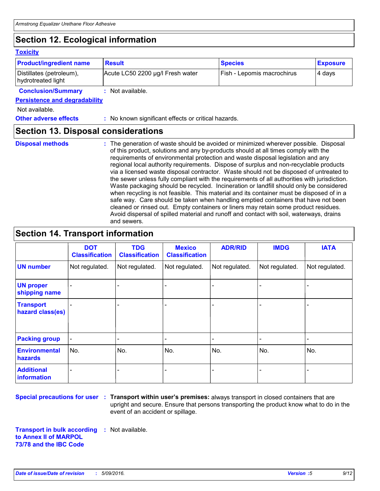## **Section 12. Ecological information**

| <b>Toxicity</b>                                |                                                                                                                                                                                                                                                                                                                                                                                                                                                                                                                                                                                                                                                                                                                                                                                                                                                                                                                                                                                                                               |                            |                 |  |  |
|------------------------------------------------|-------------------------------------------------------------------------------------------------------------------------------------------------------------------------------------------------------------------------------------------------------------------------------------------------------------------------------------------------------------------------------------------------------------------------------------------------------------------------------------------------------------------------------------------------------------------------------------------------------------------------------------------------------------------------------------------------------------------------------------------------------------------------------------------------------------------------------------------------------------------------------------------------------------------------------------------------------------------------------------------------------------------------------|----------------------------|-----------------|--|--|
| <b>Product/ingredient name</b>                 | <b>Result</b>                                                                                                                                                                                                                                                                                                                                                                                                                                                                                                                                                                                                                                                                                                                                                                                                                                                                                                                                                                                                                 | <b>Species</b>             | <b>Exposure</b> |  |  |
| Distillates (petroleum),<br>hydrotreated light | Acute LC50 2200 µg/l Fresh water                                                                                                                                                                                                                                                                                                                                                                                                                                                                                                                                                                                                                                                                                                                                                                                                                                                                                                                                                                                              | Fish - Lepomis macrochirus | 4 days          |  |  |
| <b>Conclusion/Summary</b>                      | : Not available.                                                                                                                                                                                                                                                                                                                                                                                                                                                                                                                                                                                                                                                                                                                                                                                                                                                                                                                                                                                                              |                            |                 |  |  |
| <b>Persistence and degradability</b>           |                                                                                                                                                                                                                                                                                                                                                                                                                                                                                                                                                                                                                                                                                                                                                                                                                                                                                                                                                                                                                               |                            |                 |  |  |
| Not available.                                 |                                                                                                                                                                                                                                                                                                                                                                                                                                                                                                                                                                                                                                                                                                                                                                                                                                                                                                                                                                                                                               |                            |                 |  |  |
| <b>Other adverse effects</b>                   | : No known significant effects or critical hazards.                                                                                                                                                                                                                                                                                                                                                                                                                                                                                                                                                                                                                                                                                                                                                                                                                                                                                                                                                                           |                            |                 |  |  |
| <b>Section 13. Disposal considerations</b>     |                                                                                                                                                                                                                                                                                                                                                                                                                                                                                                                                                                                                                                                                                                                                                                                                                                                                                                                                                                                                                               |                            |                 |  |  |
| <b>Disposal methods</b>                        | : The generation of waste should be avoided or minimized wherever possible. Disposal<br>of this product, solutions and any by-products should at all times comply with the<br>requirements of environmental protection and waste disposal legislation and any<br>regional local authority requirements. Dispose of surplus and non-recyclable products<br>via a licensed waste disposal contractor. Waste should not be disposed of untreated to<br>the sewer unless fully compliant with the requirements of all authorities with jurisdiction.<br>Waste packaging should be recycled. Incineration or landfill should only be considered<br>when recycling is not feasible. This material and its container must be disposed of in a<br>safe way. Care should be taken when handling emptied containers that have not been<br>cleaned or rinsed out. Empty containers or liners may retain some product residues.<br>Avoid dispersal of spilled material and runoff and contact with soil, waterways, drains<br>and sewers. |                            |                 |  |  |

## **Section 14. Transport information**

|                                        | <b>DOT</b><br><b>Classification</b> | <b>TDG</b><br><b>Classification</b> | <b>Mexico</b><br><b>Classification</b> | <b>ADR/RID</b> | <b>IMDG</b>       | <b>IATA</b>    |
|----------------------------------------|-------------------------------------|-------------------------------------|----------------------------------------|----------------|-------------------|----------------|
| <b>UN number</b>                       | Not regulated.                      | Not regulated.                      | Not regulated.                         | Not regulated. | Not regulated.    | Not regulated. |
| <b>UN proper</b><br>shipping name      |                                     |                                     |                                        |                |                   |                |
| <b>Transport</b><br>hazard class(es)   |                                     |                                     |                                        |                |                   |                |
| <b>Packing group</b>                   | $\blacksquare$                      |                                     | $\blacksquare$                         |                | $\qquad \qquad -$ |                |
| <b>Environmental</b><br><b>hazards</b> | No.                                 | No.                                 | No.                                    | No.            | No.               | No.            |
| <b>Additional</b><br>information       |                                     |                                     |                                        |                |                   |                |

**Special precautions for user Transport within user's premises:** always transport in closed containers that are **:** upright and secure. Ensure that persons transporting the product know what to do in the event of an accident or spillage.

**Transport in bulk according :** Not available. **to Annex II of MARPOL 73/78 and the IBC Code** *Date of issue/Date of revision* **:** *5/09/2016. Version :<sup>5</sup> 9/12*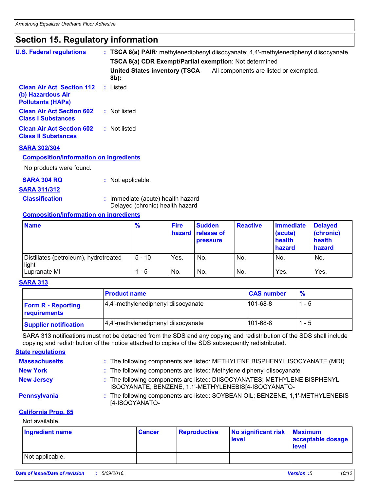## **Section 15. Regulatory information**

| <b>U.S. Federal regulations</b>                                                   |                                       | : TSCA 8(a) PAIR: methylenediphenyl diisocyanate; 4,4'-methylenediphenyl diisocyanate<br><b>TSCA 8(a) CDR Exempt/Partial exemption: Not determined</b> |  |  |
|-----------------------------------------------------------------------------------|---------------------------------------|--------------------------------------------------------------------------------------------------------------------------------------------------------|--|--|
|                                                                                   | United States inventory (TSCA<br>8b): | All components are listed or exempted.                                                                                                                 |  |  |
| <b>Clean Air Act Section 112</b><br>(b) Hazardous Air<br><b>Pollutants (HAPS)</b> | : Listed                              |                                                                                                                                                        |  |  |
| <b>Clean Air Act Section 602</b><br><b>Class I Substances</b>                     | : Not listed                          |                                                                                                                                                        |  |  |
| <b>Clean Air Act Section 602</b><br><b>Class II Substances</b>                    | : Not listed                          |                                                                                                                                                        |  |  |
| <b>SARA 302/304</b>                                                               |                                       |                                                                                                                                                        |  |  |
| <b>Composition/information on ingredients</b>                                     |                                       |                                                                                                                                                        |  |  |
| No products were found.                                                           |                                       |                                                                                                                                                        |  |  |

- **SARA 304 RQ :** Not applicable.
	-

## **SARA 311/312**

- 
- **Classification :** Immediate (acute) health hazard Delayed (chronic) health hazard

## **Composition/information on ingredients**

| <b>Name</b>                                    | $\frac{9}{6}$ | <b>Fire</b> | <b>Sudden</b><br>hazard release of<br><b>pressure</b> | Reactive | Immediate<br>(acute)<br>health<br>hazard | <b>Delayed</b><br>(chronic)<br>health<br>hazard |
|------------------------------------------------|---------------|-------------|-------------------------------------------------------|----------|------------------------------------------|-------------------------------------------------|
| Distillates (petroleum), hydrotreated<br>light | $5 - 10$      | Yes.        | No.                                                   | No.      | No.                                      | No.                                             |
| Lupranate MI                                   | - 5           | No.         | No.                                                   | No.      | Yes.                                     | Yes.                                            |

#### **SARA 313**

|                                           | <b>Product name</b>                 | <b>CAS number</b> | $\frac{9}{6}$ |
|-------------------------------------------|-------------------------------------|-------------------|---------------|
| <b>Form R - Reporting</b><br>requirements | 4,4'-methylenediphenyl diisocyanate | $101 - 68 - 8$    | - 5           |
| <b>Supplier notification</b>              | 4,4'-methylenediphenyl diisocyanate | $101 - 68 - 8$    | 1 - 5         |

SARA 313 notifications must not be detached from the SDS and any copying and redistribution of the SDS shall include copying and redistribution of the notice attached to copies of the SDS subsequently redistributed.

#### **State regulations**

| <b>Massachusetts</b> | : The following components are listed: METHYLENE BISPHENYL ISOCYANATE (MDI)                                                       |
|----------------------|-----------------------------------------------------------------------------------------------------------------------------------|
| <b>New York</b>      | : The following components are listed: Methylene diphenyl diisocyanate                                                            |
| <b>New Jersey</b>    | : The following components are listed: DIISOCYANATES; METHYLENE BISPHENYL<br>ISOCYANATE; BENZENE, 1,1'-METHYLENEBIS[4-ISOCYANATO- |
| <b>Pennsylvania</b>  | : The following components are listed: SOYBEAN OIL; BENZENE, 1,1'-METHYLENEBIS<br>[4-ISOCYANATO-                                  |

#### **California Prop. 65**

#### Not available.

| Ingredient name                              | <b>Cancer</b> | <b>Reproductive</b> | No significant risk<br>level | <b>Maximum</b><br>acceptable dosage<br><b>level</b> |       |
|----------------------------------------------|---------------|---------------------|------------------------------|-----------------------------------------------------|-------|
| Not applicable.                              |               |                     |                              |                                                     |       |
| Date of issue/Date of revision<br>5/09/2016. |               |                     |                              | Version :5                                          | 10/12 |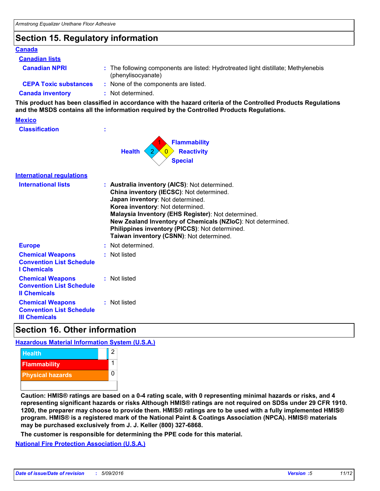## **Section 15. Regulatory information**

#### **Canada**

#### **Canadian lists**

**Canadian NPRI :**

- The following components are listed: Hydrotreated light distillate; Methylenebis (phenylisocyanate)
- **CEPA Toxic substances :** None of the components are listed.
	-

**Canada inventory :** Not determined.

**This product has been classified in accordance with the hazard criteria of the Controlled Products Regulations and the MSDS contains all the information required by the Controlled Products Regulations.**

## **Mexico**

| <b>Classification</b> |  |
|-----------------------|--|
|                       |  |



| <b>International requlations</b> |  |
|----------------------------------|--|
|                                  |  |

| <b>International lists</b>                                                         | : Australia inventory (AICS): Not determined.<br>China inventory (IECSC): Not determined.<br>Japan inventory: Not determined.<br>Korea inventory: Not determined.<br>Malaysia Inventory (EHS Register): Not determined.<br>New Zealand Inventory of Chemicals (NZIoC): Not determined.<br>Philippines inventory (PICCS): Not determined.<br>Taiwan inventory (CSNN): Not determined. |
|------------------------------------------------------------------------------------|--------------------------------------------------------------------------------------------------------------------------------------------------------------------------------------------------------------------------------------------------------------------------------------------------------------------------------------------------------------------------------------|
| <b>Europe</b>                                                                      | : Not determined.                                                                                                                                                                                                                                                                                                                                                                    |
| <b>Chemical Weapons</b><br><b>Convention List Schedule</b><br><b>I</b> Chemicals   | : Not listed                                                                                                                                                                                                                                                                                                                                                                         |
| <b>Chemical Weapons</b><br><b>Convention List Schedule</b><br><b>Il Chemicals</b>  | : Not listed                                                                                                                                                                                                                                                                                                                                                                         |
| <b>Chemical Weapons</b><br><b>Convention List Schedule</b><br><b>III Chemicals</b> | : Not listed                                                                                                                                                                                                                                                                                                                                                                         |

## **Section 16. Other information**

#### **Hazardous Material Information System (U.S.A.)**



**Caution: HMIS® ratings are based on a 0-4 rating scale, with 0 representing minimal hazards or risks, and 4 representing significant hazards or risks Although HMIS® ratings are not required on SDSs under 29 CFR 1910. 1200, the preparer may choose to provide them. HMIS® ratings are to be used with a fully implemented HMIS® program. HMIS® is a registered mark of the National Paint & Coatings Association (NPCA). HMIS® materials may be purchased exclusively from J. J. Keller (800) 327-6868.**

**The customer is responsible for determining the PPE code for this material.**

**National Fire Protection Association (U.S.A.)** *Date of issue/Date of revision* **:** *5/09/201<sup>6</sup> Version :<sup>5</sup> 11/12*